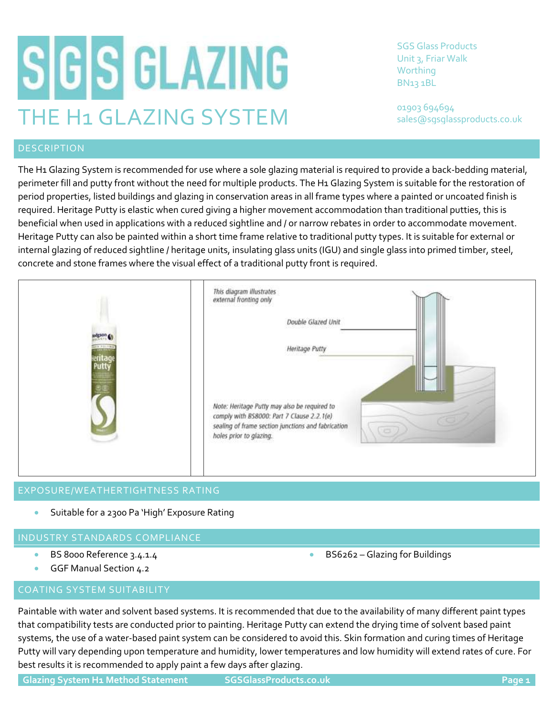# SGS GLAZING THE H1 GLAZING SYSTEM

SGS Glass Products Unit 3, Friar Walk Worthing BN13 1BL

01903 694694 sales@sgsglassproducts.co.uk

# DESCRIPTION

The H1 Glazing System is recommended for use where a sole glazing material is required to provide a back-bedding material, perimeter fill and putty front without the need for multiple products. The H1 Glazing System is suitable for the restoration of period properties, listed buildings and glazing in conservation areas in all frame types where a painted or uncoated finish is required. Heritage Putty is elastic when cured giving a higher movement accommodation than traditional putties, this is beneficial when used in applications with a reduced sightline and / or narrow rebates in order to accommodate movement. Heritage Putty can also be painted within a short time frame relative to traditional putty types. It is suitable for external or internal glazing of reduced sightline / heritage units, insulating glass units (IGU) and single glass into primed timber, steel, concrete and stone frames where the visual effect of a traditional putty front is required.



# EXPOSURE/WEATHERTIGHTNESS RATING

• Suitable for a 2300 Pa 'High' Exposure Rating

# INDUSTRY STANDARDS COMPLIANCE

- BS 8000 Reference 3.4.1.4
- GGF Manual Section 4.2

# COATING SYSTEM SUITABILITY

Paintable with water and solvent based systems. It is recommended that due to the availability of many different paint types that compatibility tests are conducted prior to painting. Heritage Putty can extend the drying time of solvent based paint systems, the use of a water-based paint system can be considered to avoid this. Skin formation and curing times of Heritage Putty will vary depending upon temperature and humidity, lower temperatures and low humidity will extend rates of cure. For best results it is recommended to apply paint a few days after glazing.

• BS6262 – Glazing for Buildings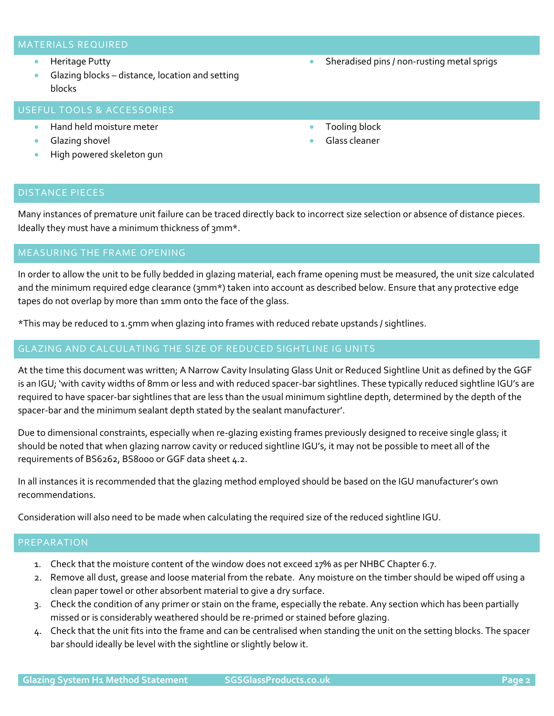### MATERIALS REQUIRED

- Heritage Putty
- Glazing blocks distance, location and setting blocks

# USEFUL TOOLS & ACCESSORIES

- Hand held moisture meter
- Glazing shovel
- High powered skeleton gun
- Sheradised pins / non-rusting metal sprigs
- Tooling block
- Glass cleaner

### DISTANCE PIECES

Many instances of premature unit failure can be traced directly back to incorrect size selection or absence of distance pieces. Ideally they must have a minimum thickness of 3mm\*.

In order to allow the unit to be fully bedded in glazing material, each frame opening must be measured, the unit size calculated and the minimum required edge clearance (3mm\*) taken into account as described below. Ensure that any protective edge tapes do not overlap by more than 1mm onto the face of the glass.

\*This may be reduced to 1.5mm when glazing into frames with reduced rebate upstands / sightlines.

### GLAZING AND CALCULATING THE SIZE OF REDUCED SIGHTLINE IG UNITS

At the time this document was written; A Narrow Cavity Insulating Glass Unit or Reduced Sightline Unit as defined by the GGF is an IGU; 'with cavity widths of 8mm or less and with reduced spacer-bar sightlines. These typically reduced sightline IGU's are required to have spacer-bar sightlines that are less than the usual minimum sightline depth, determined by the depth of the spacer-bar and the minimum sealant depth stated by the sealant manufacturer'.

Due to dimensional constraints, especially when re-glazing existing frames previously designed to receive single glass; it should be noted that when glazing narrow cavity or reduced sightline IGU's, it may not be possible to meet all of the requirements of BS6262, BS8000 or GGF data sheet 4.2.

In all instances it is recommended that the glazing method employed should be based on the IGU manufacturer's own recommendations.

Consideration will also need to be made when calculating the required size of the reduced sightline IGU.

### PREPARATION

- 1. Check that the moisture content of the window does not exceed 17% as per NHBC Chapter 6.7.
- 2. Remove all dust, grease and loose material from the rebate. Any moisture on the timber should be wiped off using a clean paper towel or other absorbent material to give a dry surface.
- 3. Check the condition of any primer or stain on the frame, especially the rebate. Any section which has been partially missed or is considerably weathered should be re-primed or stained before glazing.
- 4. Check that the unit fits into the frame and can be centralised when standing the unit on the setting blocks. The spacer bar should ideally be level with the sightline or slightly below it.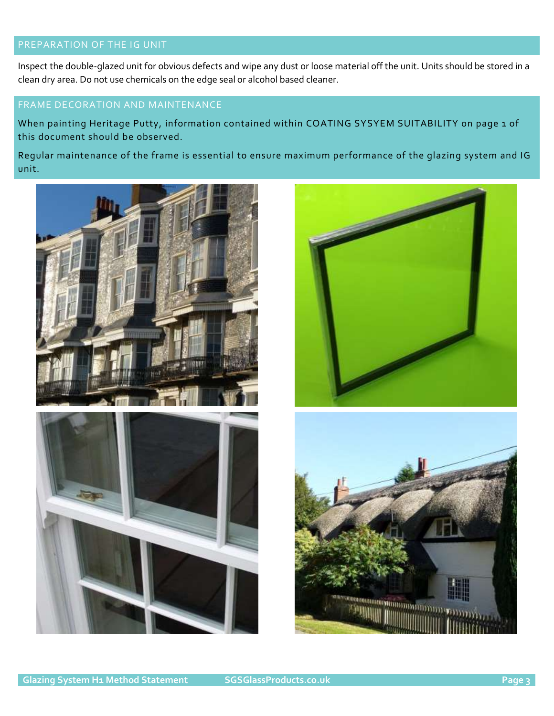# PREPARATION OF THE IG UNIT

Inspect the double-glazed unit for obvious defects and wipe any dust or loose material off the unit. Units should be stored in a clean dry area. Do not use chemicals on the edge seal or alcohol based cleaner.

## FRAME DECORATION AND MAINTENANCE

When painting Heritage Putty, information contained within COATING SYSYEM SUITABILITY on page 1 of this document should be observed.

Regular maintenance of the frame is essential to ensure maximum performance of the glazing system and IG unit.